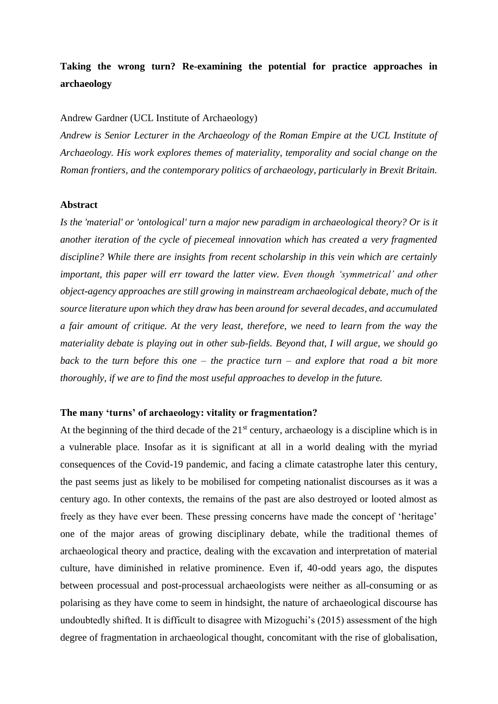# **Taking the wrong turn? Re-examining the potential for practice approaches in archaeology**

#### Andrew Gardner (UCL Institute of Archaeology)

*Andrew is Senior Lecturer in the Archaeology of the Roman Empire at the UCL Institute of Archaeology. His work explores themes of materiality, temporality and social change on the Roman frontiers, and the contemporary politics of archaeology, particularly in Brexit Britain.*

#### **Abstract**

*Is the 'material' or 'ontological' turn a major new paradigm in archaeological theory? Or is it another iteration of the cycle of piecemeal innovation which has created a very fragmented discipline? While there are insights from recent scholarship in this vein which are certainly important, this paper will err toward the latter view. Even though 'symmetrical' and other object-agency approaches are still growing in mainstream archaeological debate, much of the source literature upon which they draw has been around for several decades, and accumulated a fair amount of critique. At the very least, therefore, we need to learn from the way the materiality debate is playing out in other sub-fields. Beyond that, I will argue, we should go back to the turn before this one – the practice turn – and explore that road a bit more thoroughly, if we are to find the most useful approaches to develop in the future.*

#### **The many 'turns' of archaeology: vitality or fragmentation?**

At the beginning of the third decade of the  $21<sup>st</sup>$  century, archaeology is a discipline which is in a vulnerable place. Insofar as it is significant at all in a world dealing with the myriad consequences of the Covid-19 pandemic, and facing a climate catastrophe later this century, the past seems just as likely to be mobilised for competing nationalist discourses as it was a century ago. In other contexts, the remains of the past are also destroyed or looted almost as freely as they have ever been. These pressing concerns have made the concept of 'heritage' one of the major areas of growing disciplinary debate, while the traditional themes of archaeological theory and practice, dealing with the excavation and interpretation of material culture, have diminished in relative prominence. Even if, 40-odd years ago, the disputes between processual and post-processual archaeologists were neither as all-consuming or as polarising as they have come to seem in hindsight, the nature of archaeological discourse has undoubtedly shifted. It is difficult to disagree with Mizoguchi's (2015) assessment of the high degree of fragmentation in archaeological thought, concomitant with the rise of globalisation,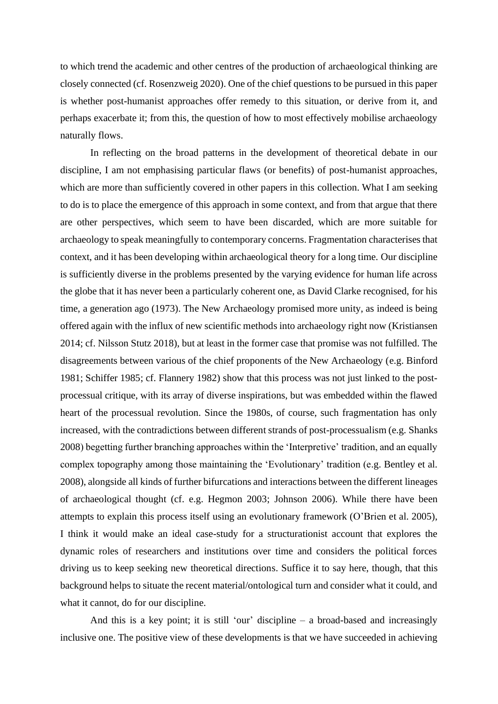to which trend the academic and other centres of the production of archaeological thinking are closely connected (cf. Rosenzweig 2020). One of the chief questions to be pursued in this paper is whether post-humanist approaches offer remedy to this situation, or derive from it, and perhaps exacerbate it; from this, the question of how to most effectively mobilise archaeology naturally flows.

In reflecting on the broad patterns in the development of theoretical debate in our discipline, I am not emphasising particular flaws (or benefits) of post-humanist approaches, which are more than sufficiently covered in other papers in this collection. What I am seeking to do is to place the emergence of this approach in some context, and from that argue that there are other perspectives, which seem to have been discarded, which are more suitable for archaeology to speak meaningfully to contemporary concerns. Fragmentation characterises that context, and it has been developing within archaeological theory for a long time. Our discipline is sufficiently diverse in the problems presented by the varying evidence for human life across the globe that it has never been a particularly coherent one, as David Clarke recognised, for his time, a generation ago (1973). The New Archaeology promised more unity, as indeed is being offered again with the influx of new scientific methods into archaeology right now (Kristiansen 2014; cf. Nilsson Stutz 2018), but at least in the former case that promise was not fulfilled. The disagreements between various of the chief proponents of the New Archaeology (e.g. Binford 1981; Schiffer 1985; cf. Flannery 1982) show that this process was not just linked to the postprocessual critique, with its array of diverse inspirations, but was embedded within the flawed heart of the processual revolution. Since the 1980s, of course, such fragmentation has only increased, with the contradictions between different strands of post-processualism (e.g. Shanks 2008) begetting further branching approaches within the 'Interpretive' tradition, and an equally complex topography among those maintaining the 'Evolutionary' tradition (e.g. Bentley et al. 2008), alongside all kinds of further bifurcations and interactions between the different lineages of archaeological thought (cf. e.g. Hegmon 2003; Johnson 2006). While there have been attempts to explain this process itself using an evolutionary framework (O'Brien et al. 2005), I think it would make an ideal case-study for a structurationist account that explores the dynamic roles of researchers and institutions over time and considers the political forces driving us to keep seeking new theoretical directions. Suffice it to say here, though, that this background helps to situate the recent material/ontological turn and consider what it could, and what it cannot, do for our discipline.

And this is a key point; it is still 'our' discipline – a broad-based and increasingly inclusive one. The positive view of these developments is that we have succeeded in achieving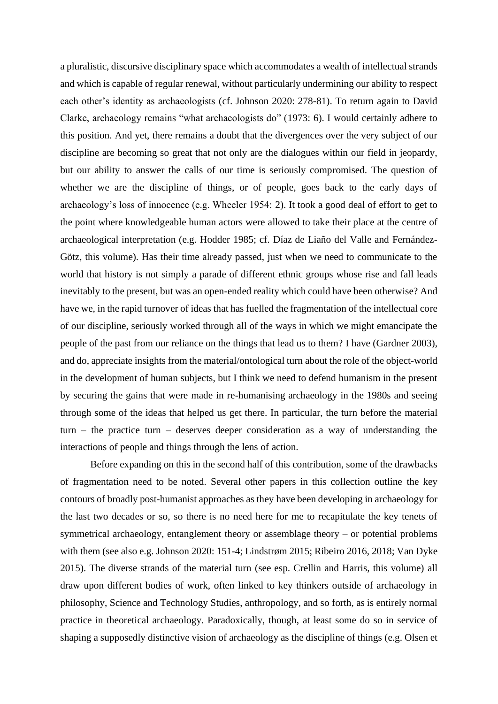a pluralistic, discursive disciplinary space which accommodates a wealth of intellectual strands and which is capable of regular renewal, without particularly undermining our ability to respect each other's identity as archaeologists (cf. Johnson 2020: 278-81). To return again to David Clarke, archaeology remains "what archaeologists do" (1973: 6). I would certainly adhere to this position. And yet, there remains a doubt that the divergences over the very subject of our discipline are becoming so great that not only are the dialogues within our field in jeopardy, but our ability to answer the calls of our time is seriously compromised. The question of whether we are the discipline of things, or of people, goes back to the early days of archaeology's loss of innocence (e.g. Wheeler 1954: 2). It took a good deal of effort to get to the point where knowledgeable human actors were allowed to take their place at the centre of archaeological interpretation (e.g. Hodder 1985; cf. Díaz de Liaño del Valle and Fernández-Götz, this volume). Has their time already passed, just when we need to communicate to the world that history is not simply a parade of different ethnic groups whose rise and fall leads inevitably to the present, but was an open-ended reality which could have been otherwise? And have we, in the rapid turnover of ideas that has fuelled the fragmentation of the intellectual core of our discipline, seriously worked through all of the ways in which we might emancipate the people of the past from our reliance on the things that lead us to them? I have (Gardner 2003), and do, appreciate insights from the material/ontological turn about the role of the object-world in the development of human subjects, but I think we need to defend humanism in the present by securing the gains that were made in re-humanising archaeology in the 1980s and seeing through some of the ideas that helped us get there. In particular, the turn before the material turn – the practice turn – deserves deeper consideration as a way of understanding the interactions of people and things through the lens of action.

Before expanding on this in the second half of this contribution, some of the drawbacks of fragmentation need to be noted. Several other papers in this collection outline the key contours of broadly post-humanist approaches as they have been developing in archaeology for the last two decades or so, so there is no need here for me to recapitulate the key tenets of symmetrical archaeology, entanglement theory or assemblage theory – or potential problems with them (see also e.g. Johnson 2020: 151-4; Lindstrøm 2015; Ribeiro 2016, 2018; Van Dyke 2015). The diverse strands of the material turn (see esp. Crellin and Harris, this volume) all draw upon different bodies of work, often linked to key thinkers outside of archaeology in philosophy, Science and Technology Studies, anthropology, and so forth, as is entirely normal practice in theoretical archaeology. Paradoxically, though, at least some do so in service of shaping a supposedly distinctive vision of archaeology as the discipline of things (e.g. Olsen et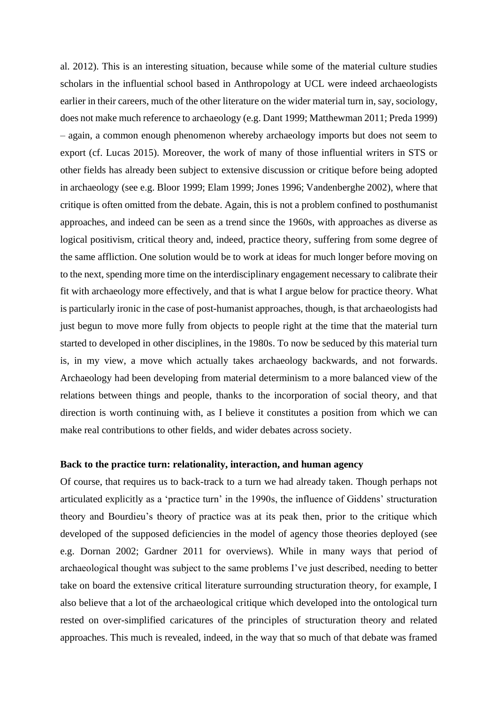al. 2012). This is an interesting situation, because while some of the material culture studies scholars in the influential school based in Anthropology at UCL were indeed archaeologists earlier in their careers, much of the other literature on the wider material turn in, say, sociology, does not make much reference to archaeology (e.g. Dant 1999; Matthewman 2011; Preda 1999) – again, a common enough phenomenon whereby archaeology imports but does not seem to export (cf. Lucas 2015). Moreover, the work of many of those influential writers in STS or other fields has already been subject to extensive discussion or critique before being adopted in archaeology (see e.g. Bloor 1999; Elam 1999; Jones 1996; Vandenberghe 2002), where that critique is often omitted from the debate. Again, this is not a problem confined to posthumanist approaches, and indeed can be seen as a trend since the 1960s, with approaches as diverse as logical positivism, critical theory and, indeed, practice theory, suffering from some degree of the same affliction. One solution would be to work at ideas for much longer before moving on to the next, spending more time on the interdisciplinary engagement necessary to calibrate their fit with archaeology more effectively, and that is what I argue below for practice theory. What is particularly ironic in the case of post-humanist approaches, though, is that archaeologists had just begun to move more fully from objects to people right at the time that the material turn started to developed in other disciplines, in the 1980s. To now be seduced by this material turn is, in my view, a move which actually takes archaeology backwards, and not forwards. Archaeology had been developing from material determinism to a more balanced view of the relations between things and people, thanks to the incorporation of social theory, and that direction is worth continuing with, as I believe it constitutes a position from which we can make real contributions to other fields, and wider debates across society.

## **Back to the practice turn: relationality, interaction, and human agency**

Of course, that requires us to back-track to a turn we had already taken. Though perhaps not articulated explicitly as a 'practice turn' in the 1990s, the influence of Giddens' structuration theory and Bourdieu's theory of practice was at its peak then, prior to the critique which developed of the supposed deficiencies in the model of agency those theories deployed (see e.g. Dornan 2002; Gardner 2011 for overviews). While in many ways that period of archaeological thought was subject to the same problems I've just described, needing to better take on board the extensive critical literature surrounding structuration theory, for example, I also believe that a lot of the archaeological critique which developed into the ontological turn rested on over-simplified caricatures of the principles of structuration theory and related approaches. This much is revealed, indeed, in the way that so much of that debate was framed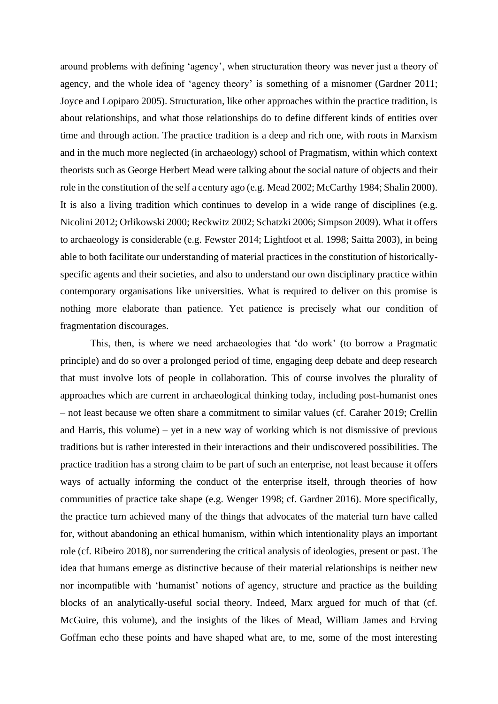around problems with defining 'agency', when structuration theory was never just a theory of agency, and the whole idea of 'agency theory' is something of a misnomer (Gardner 2011; Joyce and Lopiparo 2005). Structuration, like other approaches within the practice tradition, is about relationships, and what those relationships do to define different kinds of entities over time and through action. The practice tradition is a deep and rich one, with roots in Marxism and in the much more neglected (in archaeology) school of Pragmatism, within which context theorists such as George Herbert Mead were talking about the social nature of objects and their role in the constitution of the self a century ago (e.g. Mead 2002; McCarthy 1984; Shalin 2000). It is also a living tradition which continues to develop in a wide range of disciplines (e.g. Nicolini 2012; Orlikowski 2000; Reckwitz 2002; Schatzki 2006; Simpson 2009). What it offers to archaeology is considerable (e.g. Fewster 2014; Lightfoot et al. 1998; Saitta 2003), in being able to both facilitate our understanding of material practices in the constitution of historicallyspecific agents and their societies, and also to understand our own disciplinary practice within contemporary organisations like universities. What is required to deliver on this promise is nothing more elaborate than patience. Yet patience is precisely what our condition of fragmentation discourages.

This, then, is where we need archaeologies that 'do work' (to borrow a Pragmatic principle) and do so over a prolonged period of time, engaging deep debate and deep research that must involve lots of people in collaboration. This of course involves the plurality of approaches which are current in archaeological thinking today, including post-humanist ones – not least because we often share a commitment to similar values (cf. Caraher 2019; Crellin and Harris, this volume) – yet in a new way of working which is not dismissive of previous traditions but is rather interested in their interactions and their undiscovered possibilities. The practice tradition has a strong claim to be part of such an enterprise, not least because it offers ways of actually informing the conduct of the enterprise itself, through theories of how communities of practice take shape (e.g. Wenger 1998; cf. Gardner 2016). More specifically, the practice turn achieved many of the things that advocates of the material turn have called for, without abandoning an ethical humanism, within which intentionality plays an important role (cf. Ribeiro 2018), nor surrendering the critical analysis of ideologies, present or past. The idea that humans emerge as distinctive because of their material relationships is neither new nor incompatible with 'humanist' notions of agency, structure and practice as the building blocks of an analytically-useful social theory. Indeed, Marx argued for much of that (cf. McGuire, this volume), and the insights of the likes of Mead, William James and Erving Goffman echo these points and have shaped what are, to me, some of the most interesting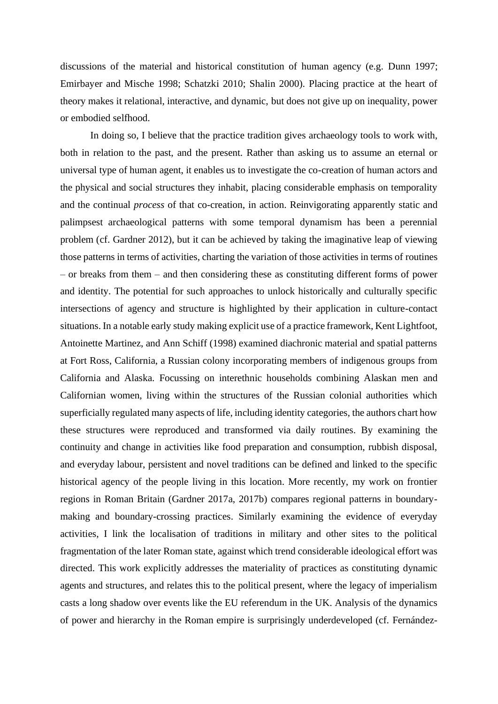discussions of the material and historical constitution of human agency (e.g. Dunn 1997; Emirbayer and Mische 1998; Schatzki 2010; Shalin 2000). Placing practice at the heart of theory makes it relational, interactive, and dynamic, but does not give up on inequality, power or embodied selfhood.

In doing so, I believe that the practice tradition gives archaeology tools to work with, both in relation to the past, and the present. Rather than asking us to assume an eternal or universal type of human agent, it enables us to investigate the co-creation of human actors and the physical and social structures they inhabit, placing considerable emphasis on temporality and the continual *process* of that co-creation, in action. Reinvigorating apparently static and palimpsest archaeological patterns with some temporal dynamism has been a perennial problem (cf. Gardner 2012), but it can be achieved by taking the imaginative leap of viewing those patterns in terms of activities, charting the variation of those activities in terms of routines – or breaks from them – and then considering these as constituting different forms of power and identity. The potential for such approaches to unlock historically and culturally specific intersections of agency and structure is highlighted by their application in culture-contact situations. In a notable early study making explicit use of a practice framework, Kent Lightfoot, Antoinette Martinez, and Ann Schiff (1998) examined diachronic material and spatial patterns at Fort Ross, California, a Russian colony incorporating members of indigenous groups from California and Alaska. Focussing on interethnic households combining Alaskan men and Californian women, living within the structures of the Russian colonial authorities which superficially regulated many aspects of life, including identity categories, the authors chart how these structures were reproduced and transformed via daily routines. By examining the continuity and change in activities like food preparation and consumption, rubbish disposal, and everyday labour, persistent and novel traditions can be defined and linked to the specific historical agency of the people living in this location. More recently, my work on frontier regions in Roman Britain (Gardner 2017a, 2017b) compares regional patterns in boundarymaking and boundary-crossing practices. Similarly examining the evidence of everyday activities, I link the localisation of traditions in military and other sites to the political fragmentation of the later Roman state, against which trend considerable ideological effort was directed. This work explicitly addresses the materiality of practices as constituting dynamic agents and structures, and relates this to the political present, where the legacy of imperialism casts a long shadow over events like the EU referendum in the UK. Analysis of the dynamics of power and hierarchy in the Roman empire is surprisingly underdeveloped (cf. Fernández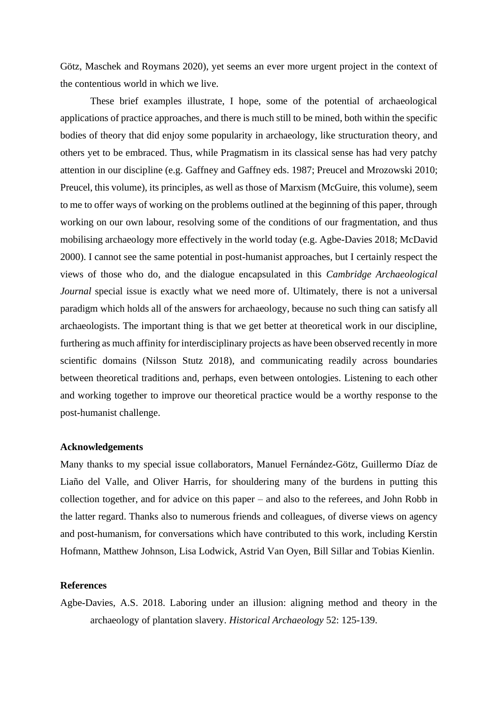Götz, Maschek and Roymans 2020), yet seems an ever more urgent project in the context of the contentious world in which we live.

These brief examples illustrate, I hope, some of the potential of archaeological applications of practice approaches, and there is much still to be mined, both within the specific bodies of theory that did enjoy some popularity in archaeology, like structuration theory, and others yet to be embraced. Thus, while Pragmatism in its classical sense has had very patchy attention in our discipline (e.g. Gaffney and Gaffney eds. 1987; Preucel and Mrozowski 2010; Preucel, this volume), its principles, as well as those of Marxism (McGuire, this volume), seem to me to offer ways of working on the problems outlined at the beginning of this paper, through working on our own labour, resolving some of the conditions of our fragmentation, and thus mobilising archaeology more effectively in the world today (e.g. Agbe-Davies 2018; McDavid 2000). I cannot see the same potential in post-humanist approaches, but I certainly respect the views of those who do, and the dialogue encapsulated in this *Cambridge Archaeological Journal* special issue is exactly what we need more of. Ultimately, there is not a universal paradigm which holds all of the answers for archaeology, because no such thing can satisfy all archaeologists. The important thing is that we get better at theoretical work in our discipline, furthering as much affinity for interdisciplinary projects as have been observed recently in more scientific domains (Nilsson Stutz 2018), and communicating readily across boundaries between theoretical traditions and, perhaps, even between ontologies. Listening to each other and working together to improve our theoretical practice would be a worthy response to the post-humanist challenge.

## **Acknowledgements**

Many thanks to my special issue collaborators, Manuel Fernández-Götz, Guillermo Díaz de Liaño del Valle, and Oliver Harris, for shouldering many of the burdens in putting this collection together, and for advice on this paper – and also to the referees, and John Robb in the latter regard. Thanks also to numerous friends and colleagues, of diverse views on agency and post-humanism, for conversations which have contributed to this work, including Kerstin Hofmann, Matthew Johnson, Lisa Lodwick, Astrid Van Oyen, Bill Sillar and Tobias Kienlin.

# **References**

Agbe-Davies, A.S. 2018. Laboring under an illusion: aligning method and theory in the archaeology of plantation slavery. *Historical Archaeology* 52: 125-139.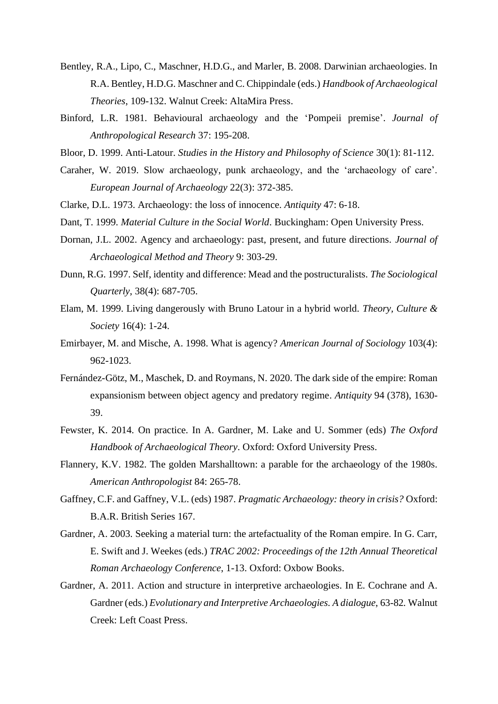- Bentley, R.A., Lipo, C., Maschner, H.D.G., and Marler, B. 2008. Darwinian archaeologies. In R.A. Bentley, H.D.G. Maschner and C. Chippindale (eds.) *Handbook of Archaeological Theories*, 109-132. Walnut Creek: AltaMira Press.
- Binford, L.R. 1981. Behavioural archaeology and the 'Pompeii premise'. *Journal of Anthropological Research* 37: 195-208.
- Bloor, D. 1999. Anti-Latour. *Studies in the History and Philosophy of Science* 30(1): 81-112.
- Caraher, W. 2019. Slow archaeology, punk archaeology, and the 'archaeology of care'. *European Journal of Archaeology* 22(3): 372-385.
- Clarke, D.L. 1973. Archaeology: the loss of innocence. *Antiquity* 47: 6-18.
- Dant, T. 1999. *Material Culture in the Social World*. Buckingham: Open University Press.
- Dornan, J.L. 2002. Agency and archaeology: past, present, and future directions. *Journal of Archaeological Method and Theory* 9: 303-29.
- Dunn, R.G. 1997. Self, identity and difference: Mead and the postructuralists. *The Sociological Quarterly*, 38(4): 687-705.
- Elam, M. 1999. Living dangerously with Bruno Latour in a hybrid world. *Theory, Culture & Society* 16(4): 1-24.
- Emirbayer, M. and Mische, A. 1998. What is agency? *American Journal of Sociology* 103(4): 962-1023.
- Fernández-Götz, M., Maschek, D. and Roymans, N. 2020. The dark side of the empire: Roman expansionism between object agency and predatory regime. *Antiquity* 94 (378), 1630- 39.
- Fewster, K. 2014. On practice. In A. Gardner, M. Lake and U. Sommer (eds) *The Oxford Handbook of Archaeological Theory*. Oxford: Oxford University Press.
- Flannery, K.V. 1982. The golden Marshalltown: a parable for the archaeology of the 1980s. *American Anthropologist* 84: 265-78.
- Gaffney, C.F. and Gaffney, V.L. (eds) 1987. *Pragmatic Archaeology: theory in crisis?* Oxford: B.A.R. British Series 167.
- Gardner, A. 2003. Seeking a material turn: the artefactuality of the Roman empire. In G. Carr, E. Swift and J. Weekes (eds.) *TRAC 2002: Proceedings of the 12th Annual Theoretical Roman Archaeology Conference*, 1-13. Oxford: Oxbow Books.
- Gardner, A. 2011. Action and structure in interpretive archaeologies. In E. Cochrane and A. Gardner (eds.) *Evolutionary and Interpretive Archaeologies. A dialogue*, 63-82*.* Walnut Creek: Left Coast Press.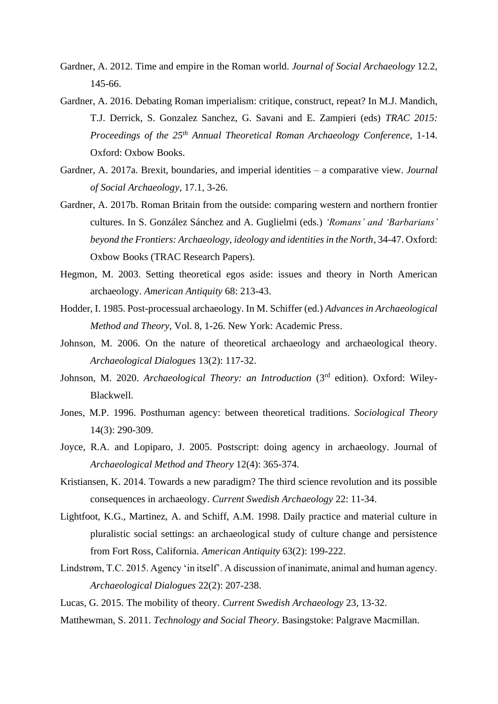- Gardner, A. 2012. Time and empire in the Roman world. *Journal of Social Archaeology* 12.2, 145-66.
- Gardner, A. 2016. Debating Roman imperialism: critique, construct, repeat? In M.J. Mandich, T.J. Derrick, S. Gonzalez Sanchez, G. Savani and E. Zampieri (eds) *TRAC 2015: Proceedings of the 25th Annual Theoretical Roman Archaeology Conference*, 1-14. Oxford: Oxbow Books.
- Gardner, A. 2017a. Brexit, boundaries, and imperial identities a comparative view. *Journal of Social Archaeology*, 17.1, 3-26.
- Gardner, A. 2017b. Roman Britain from the outside: comparing western and northern frontier cultures. In S. González Sánchez and A. Guglielmi (eds.) *'Romans' and 'Barbarians' beyond the Frontiers: Archaeology, ideology and identities in the North*, 34-47. Oxford: Oxbow Books (TRAC Research Papers).
- Hegmon, M. 2003. Setting theoretical egos aside: issues and theory in North American archaeology. *American Antiquity* 68: 213-43.
- Hodder, I. 1985. Post-processual archaeology. In M. Schiffer (ed.) *Advances in Archaeological Method and Theory*, Vol. 8, 1-26. New York: Academic Press.
- Johnson, M. 2006. On the nature of theoretical archaeology and archaeological theory. *Archaeological Dialogues* 13(2): 117-32.
- Johnson, M. 2020. *Archaeological Theory: an Introduction* (3rd edition). Oxford: Wiley-Blackwell.
- Jones, M.P. 1996. Posthuman agency: between theoretical traditions. *Sociological Theory* 14(3): 290-309.
- Joyce, R.A. and Lopiparo, J. 2005. Postscript: doing agency in archaeology. Journal of *Archaeological Method and Theory* 12(4): 365-374.
- Kristiansen, K. 2014. Towards a new paradigm? The third science revolution and its possible consequences in archaeology. *Current Swedish Archaeology* 22: 11-34.
- Lightfoot, K.G., Martinez, A. and Schiff, A.M. 1998. Daily practice and material culture in pluralistic social settings: an archaeological study of culture change and persistence from Fort Ross, California. *American Antiquity* 63(2): 199-222.
- Lindstrøm, T.C. 2015. Agency 'in itself'. A discussion of inanimate, animal and human agency. *Archaeological Dialogues* 22(2): 207-238.
- Lucas, G. 2015. The mobility of theory. *Current Swedish Archaeology* 23, 13-32.
- Matthewman, S. 2011. *Technology and Social Theory*. Basingstoke: Palgrave Macmillan.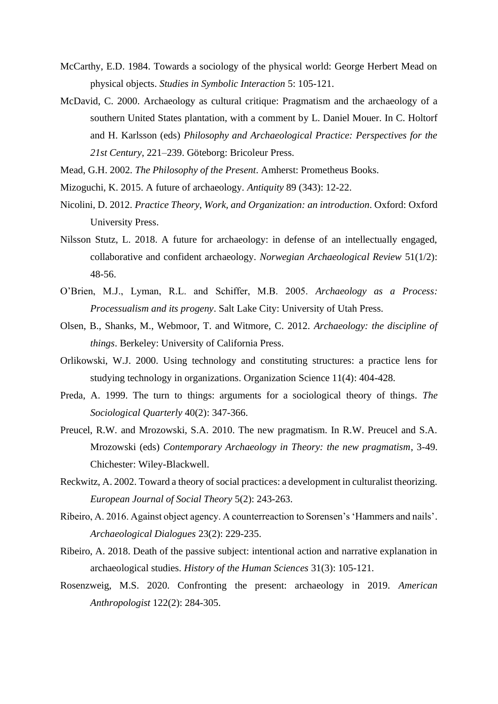- McCarthy, E.D. 1984. Towards a sociology of the physical world: George Herbert Mead on physical objects. *Studies in Symbolic Interaction* 5: 105-121.
- McDavid, C. 2000. Archaeology as cultural critique: Pragmatism and the archaeology of a southern United States plantation, with a comment by L. Daniel Mouer. In C. Holtorf and H. Karlsson (eds) *Philosophy and Archaeological Practice: Perspectives for the 21st Century*, 221–239. Göteborg: Bricoleur Press.
- Mead, G.H. 2002. *The Philosophy of the Present*. Amherst: Prometheus Books.
- Mizoguchi, K. 2015. A future of archaeology. *Antiquity* 89 (343): 12-22.
- Nicolini, D. 2012. *Practice Theory, Work, and Organization: an introduction*. Oxford: Oxford University Press.
- Nilsson Stutz, L. 2018. A future for archaeology: in defense of an intellectually engaged, collaborative and confident archaeology. *Norwegian Archaeological Review* 51(1/2): 48-56.
- O'Brien, M.J., Lyman, R.L. and Schiffer, M.B. 2005. *Archaeology as a Process: Processualism and its progeny*. Salt Lake City: University of Utah Press.
- Olsen, B., Shanks, M., Webmoor, T. and Witmore, C. 2012. *Archaeology: the discipline of things*. Berkeley: University of California Press.
- Orlikowski, W.J. 2000. Using technology and constituting structures: a practice lens for studying technology in organizations. Organization Science 11(4): 404-428.
- Preda, A. 1999. The turn to things: arguments for a sociological theory of things. *The Sociological Quarterly* 40(2): 347-366.
- Preucel, R.W. and Mrozowski, S.A. 2010. The new pragmatism. In R.W. Preucel and S.A. Mrozowski (eds) *Contemporary Archaeology in Theory: the new pragmatism*, 3-49. Chichester: Wiley-Blackwell.
- Reckwitz, A. 2002. Toward a theory of social practices: a development in culturalist theorizing. *European Journal of Social Theory* 5(2): 243-263.
- Ribeiro, A. 2016. Against object agency. A counterreaction to Sorensen's 'Hammers and nails'. *Archaeological Dialogues* 23(2): 229-235.
- Ribeiro, A. 2018. Death of the passive subject: intentional action and narrative explanation in archaeological studies. *History of the Human Sciences* 31(3): 105-121.
- Rosenzweig, M.S. 2020. Confronting the present: archaeology in 2019. *American Anthropologist* 122(2): 284-305.